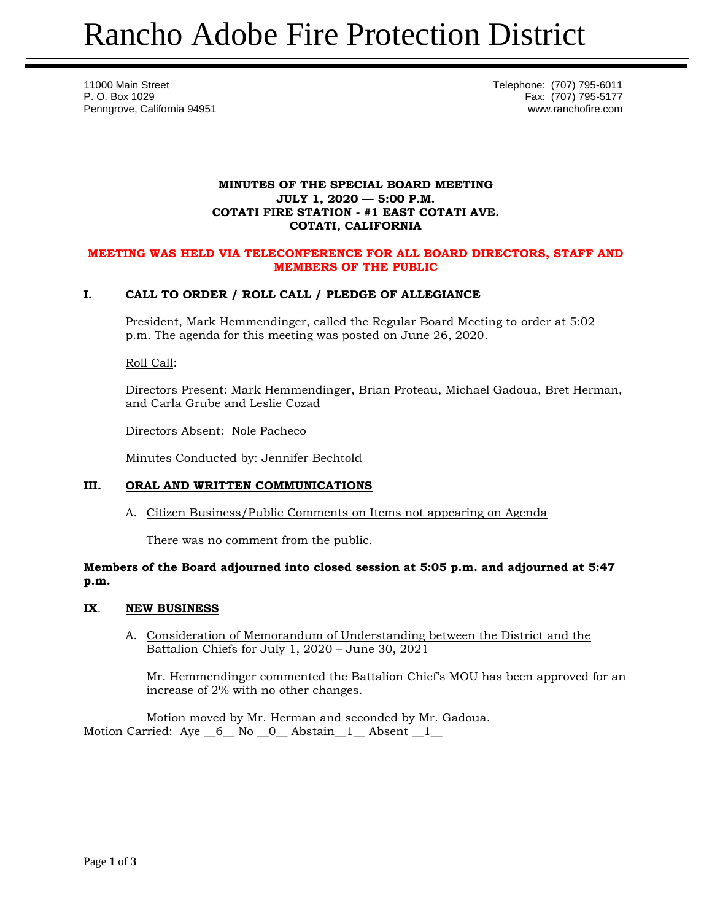11000 Main Street Telephone: (707) 795-6011 P. O. Box 1029 Fax: (707) 795-5177 Penngrove, California 94951 www.ranchofire.com

### **MINUTES OF THE SPECIAL BOARD MEETING JULY 1, 2020 — 5:00 P.M. COTATI FIRE STATION - #1 EAST COTATI AVE. COTATI, CALIFORNIA**

### **MEETING WAS HELD VIA TELECONFERENCE FOR ALL BOARD DIRECTORS, STAFF AND MEMBERS OF THE PUBLIC**

# **I. CALL TO ORDER / ROLL CALL / PLEDGE OF ALLEGIANCE**

President, Mark Hemmendinger, called the Regular Board Meeting to order at 5:02 p.m. The agenda for this meeting was posted on June 26, 2020.

Roll Call:

Directors Present: Mark Hemmendinger, Brian Proteau, Michael Gadoua, Bret Herman, and Carla Grube and Leslie Cozad

Directors Absent: Nole Pacheco

Minutes Conducted by: Jennifer Bechtold

### **III. ORAL AND WRITTEN COMMUNICATIONS**

A. Citizen Business/Public Comments on Items not appearing on Agenda

There was no comment from the public.

## **Members of the Board adjourned into closed session at 5:05 p.m. and adjourned at 5:47 p.m.**

### **IX**. **NEW BUSINESS**

A. Consideration of Memorandum of Understanding between the District and the Battalion Chiefs for July 1, 2020 – June 30, 2021

Mr. Hemmendinger commented the Battalion Chief's MOU has been approved for an increase of 2% with no other changes.

Motion moved by Mr. Herman and seconded by Mr. Gadoua. Motion Carried: Aye  $\_6\_$  No  $\_0\_$  Abstain $\_1\_$  Absent  $\_1\_$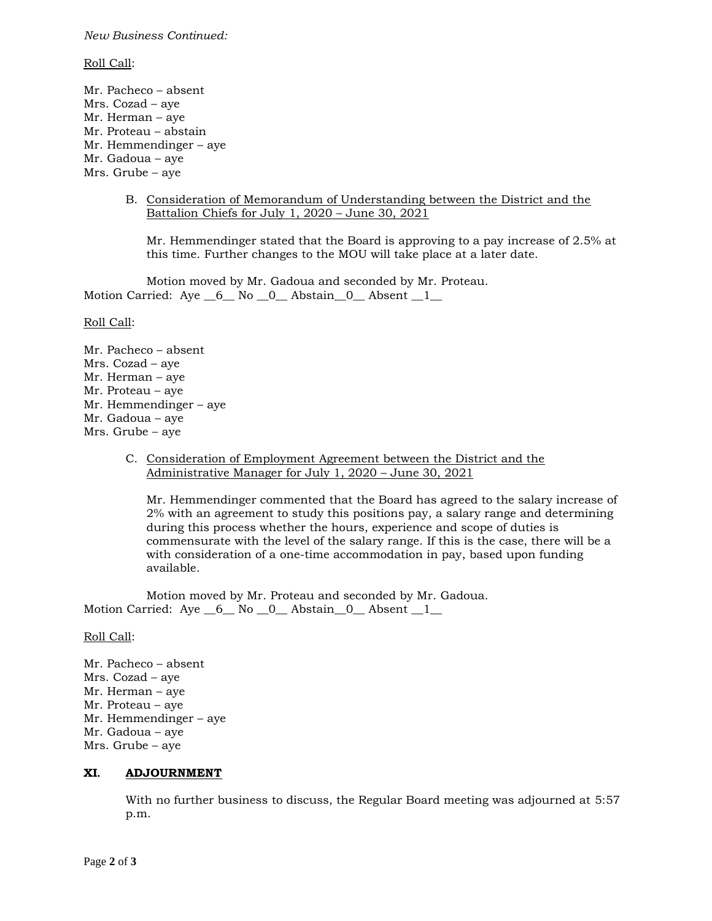#### *New Business Continued:*

#### Roll Call:

Mr. Pacheco – absent Mrs. Cozad – aye Mr. Herman – aye Mr. Proteau – abstain Mr. Hemmendinger – aye Mr. Gadoua – aye Mrs. Grube – aye

> B. Consideration of Memorandum of Understanding between the District and the Battalion Chiefs for July 1, 2020 – June 30, 2021

Mr. Hemmendinger stated that the Board is approving to a pay increase of 2.5% at this time. Further changes to the MOU will take place at a later date.

Motion moved by Mr. Gadoua and seconded by Mr. Proteau. Motion Carried: Aye 6 No 0 Abstain 0 Absent 1

Roll Call:

Mr. Pacheco – absent Mrs. Cozad – aye Mr. Herman – aye Mr. Proteau – aye Mr. Hemmendinger – aye Mr. Gadoua – aye Mrs. Grube – aye

> C. Consideration of Employment Agreement between the District and the Administrative Manager for July 1, 2020 – June 30, 2021

Mr. Hemmendinger commented that the Board has agreed to the salary increase of 2% with an agreement to study this positions pay, a salary range and determining during this process whether the hours, experience and scope of duties is commensurate with the level of the salary range. If this is the case, there will be a with consideration of a one-time accommodation in pay, based upon funding available.

Motion moved by Mr. Proteau and seconded by Mr. Gadoua. Motion Carried: Aye 6 No 0 Abstain 0 Absent 1

### Roll Call:

Mr. Pacheco – absent Mrs. Cozad – aye Mr. Herman – aye Mr. Proteau – aye Mr. Hemmendinger – aye Mr. Gadoua – aye Mrs. Grube – aye

### **XI. ADJOURNMENT**

With no further business to discuss, the Regular Board meeting was adjourned at 5:57 p.m.